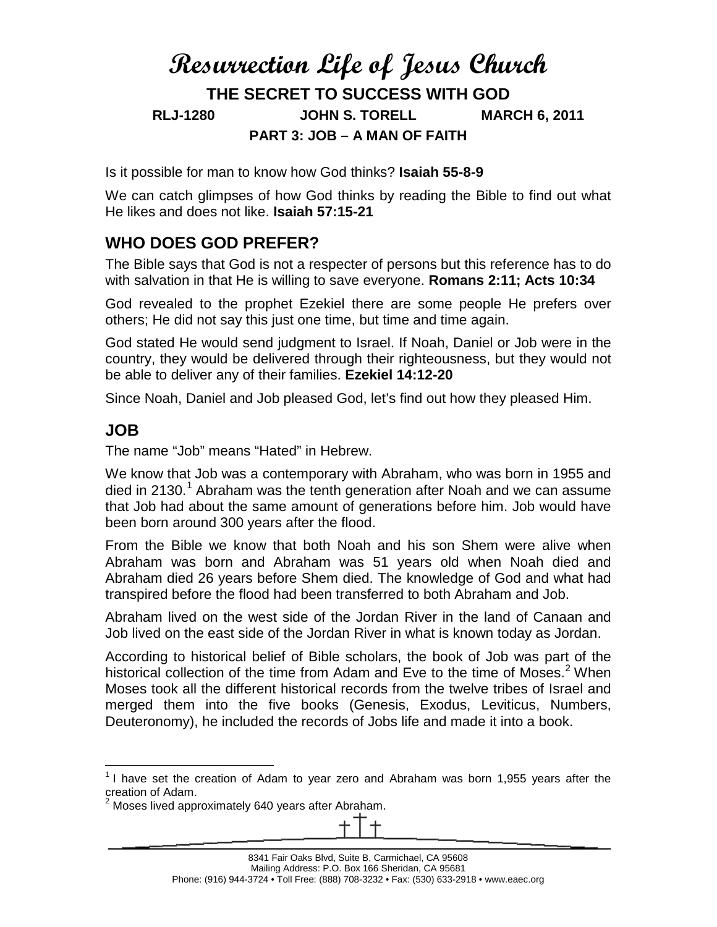# **Resurrection Life of Jesus Church THE SECRET TO SUCCESS WITH GOD RLJ-1280 JOHN S. TORELL MARCH 6, 2011 PART 3: JOB – A MAN OF FAITH**

Is it possible for man to know how God thinks? **Isaiah 55-8-9**

We can catch glimpses of how God thinks by reading the Bible to find out what He likes and does not like. **Isaiah 57:15-21**

#### **WHO DOES GOD PREFER?**

The Bible says that God is not a respecter of persons but this reference has to do with salvation in that He is willing to save everyone. **Romans 2:11; Acts 10:34**

God revealed to the prophet Ezekiel there are some people He prefers over others; He did not say this just one time, but time and time again.

God stated He would send judgment to Israel. If Noah, Daniel or Job were in the country, they would be delivered through their righteousness, but they would not be able to deliver any of their families. **Ezekiel 14:12-20**

Since Noah, Daniel and Job pleased God, let's find out how they pleased Him.

#### **JOB**

The name "Job" means "Hated" in Hebrew.

We know that Job was a contemporary with Abraham, who was born in 1955 and died in 2[1](#page-0-0)30.<sup>1</sup> Abraham was the tenth generation after Noah and we can assume that Job had about the same amount of generations before him. Job would have been born around 300 years after the flood.

From the Bible we know that both Noah and his son Shem were alive when Abraham was born and Abraham was 51 years old when Noah died and Abraham died 26 years before Shem died. The knowledge of God and what had transpired before the flood had been transferred to both Abraham and Job.

Abraham lived on the west side of the Jordan River in the land of Canaan and Job lived on the east side of the Jordan River in what is known today as Jordan.

According to historical belief of Bible scholars, the book of Job was part of the historical collection of the time from Adam and Eve to the time of Moses.<sup>[2](#page-0-1)</sup> When Moses took all the different historical records from the twelve tribes of Israel and merged them into the five books (Genesis, Exodus, Leviticus, Numbers, Deuteronomy), he included the records of Jobs life and made it into a book.

<span id="page-0-0"></span> $1$  I have set the creation of Adam to year zero and Abraham was born 1,955 years after the creation of Adam.

<span id="page-0-1"></span> $2$  Moses lived approximately 640 years after Abraham.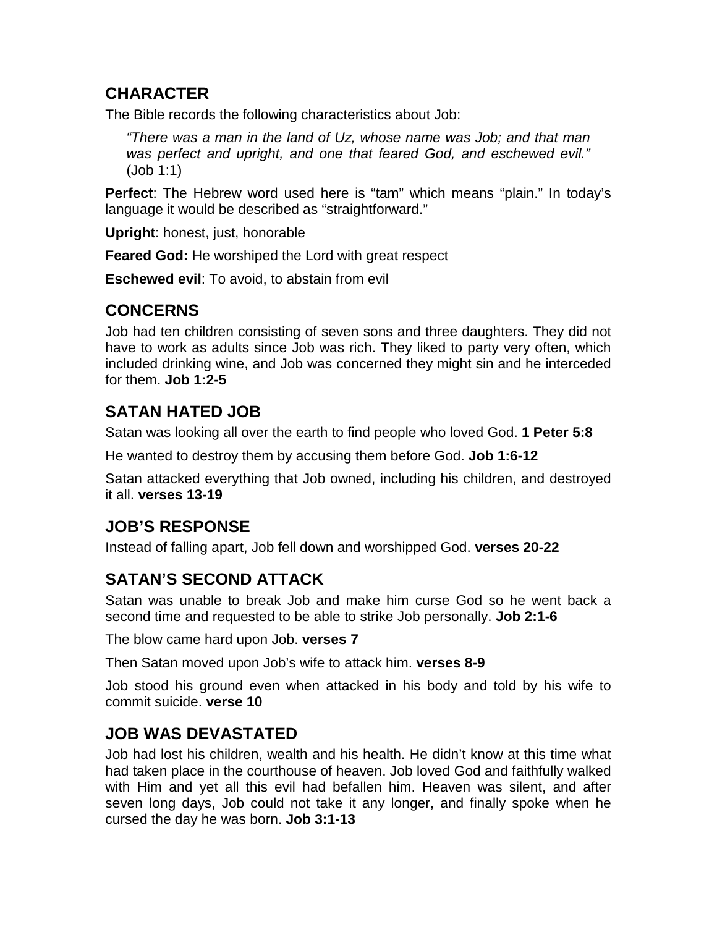#### **CHARACTER**

The Bible records the following characteristics about Job:

*"There was a man in the land of Uz, whose name was Job; and that man was perfect and upright, and one that feared God, and eschewed evil."* (Job 1:1)

**Perfect**: The Hebrew word used here is "tam" which means "plain." In today's language it would be described as "straightforward."

**Upright**: honest, just, honorable

**Feared God:** He worshiped the Lord with great respect

**Eschewed evil**: To avoid, to abstain from evil

### **CONCERNS**

Job had ten children consisting of seven sons and three daughters. They did not have to work as adults since Job was rich. They liked to party very often, which included drinking wine, and Job was concerned they might sin and he interceded for them. **Job 1:2-5**

# **SATAN HATED JOB**

Satan was looking all over the earth to find people who loved God. **1 Peter 5:8**

He wanted to destroy them by accusing them before God. **Job 1:6-12**

Satan attacked everything that Job owned, including his children, and destroyed it all. **verses 13-19**

# **JOB'S RESPONSE**

Instead of falling apart, Job fell down and worshipped God. **verses 20-22**

# **SATAN'S SECOND ATTACK**

Satan was unable to break Job and make him curse God so he went back a second time and requested to be able to strike Job personally. **Job 2:1-6**

The blow came hard upon Job. **verses 7**

Then Satan moved upon Job's wife to attack him. **verses 8-9**

Job stood his ground even when attacked in his body and told by his wife to commit suicide. **verse 10**

#### **JOB WAS DEVASTATED**

Job had lost his children, wealth and his health. He didn't know at this time what had taken place in the courthouse of heaven. Job loved God and faithfully walked with Him and yet all this evil had befallen him. Heaven was silent, and after seven long days, Job could not take it any longer, and finally spoke when he cursed the day he was born. **Job 3:1-13**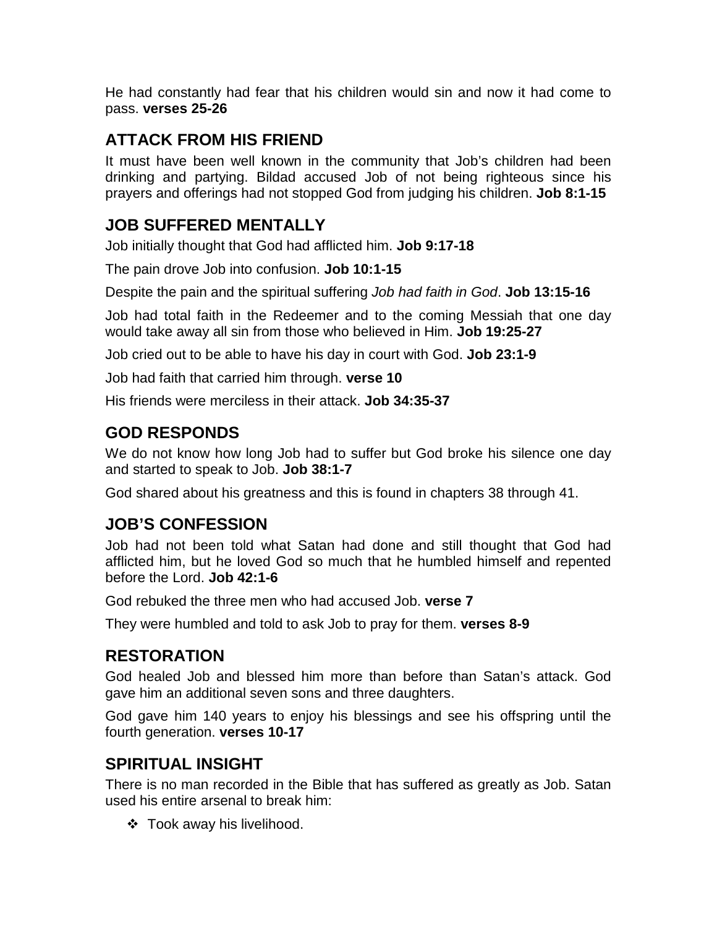He had constantly had fear that his children would sin and now it had come to pass. **verses 25-26**

### **ATTACK FROM HIS FRIEND**

It must have been well known in the community that Job's children had been drinking and partying. Bildad accused Job of not being righteous since his prayers and offerings had not stopped God from judging his children. **Job 8:1-15**

### **JOB SUFFERED MENTALLY**

Job initially thought that God had afflicted him. **Job 9:17-18**

The pain drove Job into confusion. **Job 10:1-15**

Despite the pain and the spiritual suffering *Job had faith in God*. **Job 13:15-16**

Job had total faith in the Redeemer and to the coming Messiah that one day would take away all sin from those who believed in Him. **Job 19:25-27**

Job cried out to be able to have his day in court with God. **Job 23:1-9**

Job had faith that carried him through. **verse 10**

His friends were merciless in their attack. **Job 34:35-37**

### **GOD RESPONDS**

We do not know how long Job had to suffer but God broke his silence one day and started to speak to Job. **Job 38:1-7**

God shared about his greatness and this is found in chapters 38 through 41.

#### **JOB'S CONFESSION**

Job had not been told what Satan had done and still thought that God had afflicted him, but he loved God so much that he humbled himself and repented before the Lord. **Job 42:1-6**

God rebuked the three men who had accused Job. **verse 7**

They were humbled and told to ask Job to pray for them. **verses 8-9**

# **RESTORATION**

God healed Job and blessed him more than before than Satan's attack. God gave him an additional seven sons and three daughters.

God gave him 140 years to enjoy his blessings and see his offspring until the fourth generation. **verses 10-17**

# **SPIRITUAL INSIGHT**

There is no man recorded in the Bible that has suffered as greatly as Job. Satan used his entire arsenal to break him:

Took away his livelihood.